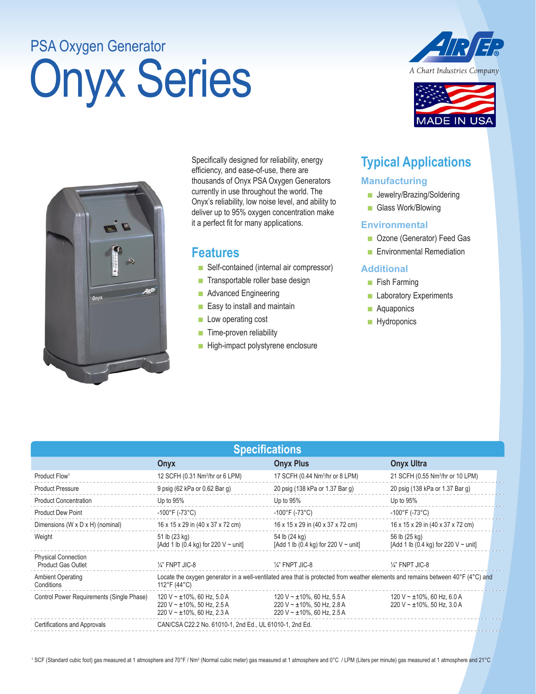# Onyx Series PSA Oxygen Generator



**ADE IN US** 



Specifically designed for reliability, energy efficiency, and ease-of-use, there are thousands of Onyx PSA Oxygen Generators currently in use throughout the world. The Onyx's reliability, low noise level, and ability to deliver up to 95% oxygen concentration make it a perfect fit for many applications.

### **Features**

- Self-contained (internal air compressor)
- Transportable roller base design
- Advanced Engineering
- Easy to install and maintain
- Low operating cost
- Time-proven reliability
- High-impact polystyrene enclosure

## **Typical Applications**

#### **Manufacturing**

- Jewelry/Brazing/Soldering
- Glass Work/Blowing

#### **Environmental**

- Ozone (Generator) Feed Gas
- Environmental Remediation

#### **Additional**

- Fish Farming
- Laboratory Experiments
- Aquaponics
- Hydroponics

| <b>Specifications</b>                                   |                                                                                                                                                  |                                                                                                       |                                                                    |  |
|---------------------------------------------------------|--------------------------------------------------------------------------------------------------------------------------------------------------|-------------------------------------------------------------------------------------------------------|--------------------------------------------------------------------|--|
|                                                         | Onyx                                                                                                                                             | <b>Onyx Plus</b>                                                                                      | <b>Onyx Ultra</b>                                                  |  |
| Product Flow <sup>1</sup>                               | 12 SCFH (0.31 Nm <sup>3</sup> /hr or 6 LPM)                                                                                                      | 17 SCFH (0.44 Nm <sup>3</sup> /hr or 8 LPM)                                                           | 21 SCFH (0.55 Nm <sup>3</sup> /hr or 10 LPM)                       |  |
| <b>Product Pressure</b>                                 | 9 psig (62 kPa or 0.62 Bar g)                                                                                                                    | 20 psig (138 kPa or 1.37 Bar g)                                                                       | 20 psig (138 kPa or 1.37 Bar g)                                    |  |
| <b>Product Concentration</b>                            | Up to $95\%$                                                                                                                                     | Up to $95%$                                                                                           | Up to $95%$                                                        |  |
| <b>Product Dew Point</b>                                | $-100^{\circ}$ F (-73 $^{\circ}$ C)                                                                                                              | $-100^{\circ}$ F (-73 $^{\circ}$ C)                                                                   | $-100^{\circ}$ F (-73 $^{\circ}$ C)                                |  |
| Dimensions (W x D x H) (nominal)                        | 16 x 15 x 29 in (40 x 37 x 72 cm)                                                                                                                | 16 x 15 x 29 in (40 x 37 x 72 cm)                                                                     | 16 x 15 x 29 in (40 x 37 x 72 cm)                                  |  |
| Weight                                                  | 51 lb (23 kg)<br>[Add 1 lb (0.4 kg) for 220 V $\sim$ unit]                                                                                       | 54 lb (24 kg)<br>[Add 1 lb (0.4 kg) for 220 V $\sim$ unit]                                            | 56 lb (25 kg)<br>[Add 1 lb (0.4 kg) for 220 V $\sim$ unit]         |  |
| <b>Physical Connection</b><br><b>Product Gas Outlet</b> | $\frac{1}{4}$ " FNPT JIC-8                                                                                                                       | $\frac{1}{4}$ " FNPT JIC-8                                                                            | $\frac{1}{4}$ " FNPT JIC-8                                         |  |
| <b>Ambient Operating</b><br>Conditions                  | Locate the oxygen generator in a well-ventilated area that is protected from weather elements and remains between 40°F (4°C) and<br>112°F (44°C) |                                                                                                       |                                                                    |  |
| Control Power Requirements (Single Phase)               | 120 V ~ $\pm$ 10%, 60 Hz, 5.0 A<br>220 V ~ $\pm$ 10%, 50 Hz, 2.5 A<br>220 V ~ $\pm$ 10%, 60 Hz, 2.3 A                                            | 120 V ~ $\pm$ 10%, 60 Hz, 5.5 A<br>220 V ~ $\pm$ 10%, 50 Hz, 2.8 A<br>220 V ~ $\pm$ 10%, 60 Hz, 2.5 A | 120 V ~ $\pm$ 10%, 60 Hz, 6.0 A<br>220 V ~ $\pm$ 10%, 50 Hz, 3.0 A |  |
| Certifications and Approvals                            | CAN/CSA C22.2 No. 61010-1, 2nd Ed., UL 61010-1, 2nd Ed.                                                                                          |                                                                                                       |                                                                    |  |

<sup>1</sup> SCF (Standard cubic foot) gas measured at 1 atmosphere and 70°F / Nm3 (Normal cubic meter) gas measured at 1 atmosphere and 21°C as measured at 1 atmosphere and 21°C